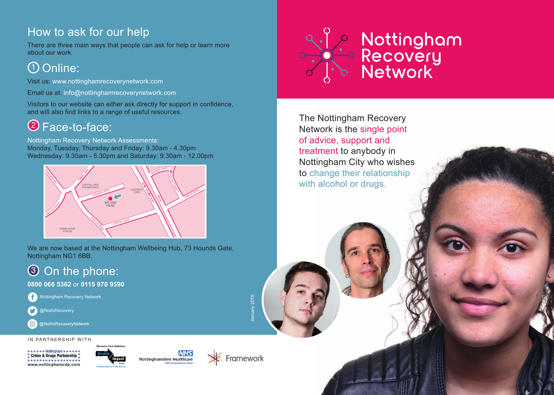## How to ask for our help

There are three main ways that people can ask for help or learn more about our work.

## <u> 1</u>) Online:

Visit us: www.nottinghamrecoverynetwork.com

Email us at: info@nottinghamrecoverynetwork.com

Visitors to our website can either ask directly for support in confidence, and will also find links to a range of useful resources.

# Face-to-face: 2

Nottingham Recovery Network Assessments: Monday, Tuesday, Thursday and Friday: 9.30am - 4.30pm Wednesday: 9.30am - 5.30pm and Saturday: 9.30am - 12.00pm



We are now based at the Nottingham Wellbeing Hub, 73 Hounds Gate, Nottingham NG1 6BB.

# **3** On the phone:

**0800 066 5362** or **0115 970 9590**



@NottsRecovery

@NottmRecoveryNetwork

IN PARTNERSHIP WITH

Crime & Drugs Partnership ................ www.nottinghamcdp.com







January 2019

lanuary 2019



The Nottingham Recovery Network is the single point of advice, support and treatment to anybody in Nottingham City who wishes to change their relationship with alcohol or drugs.